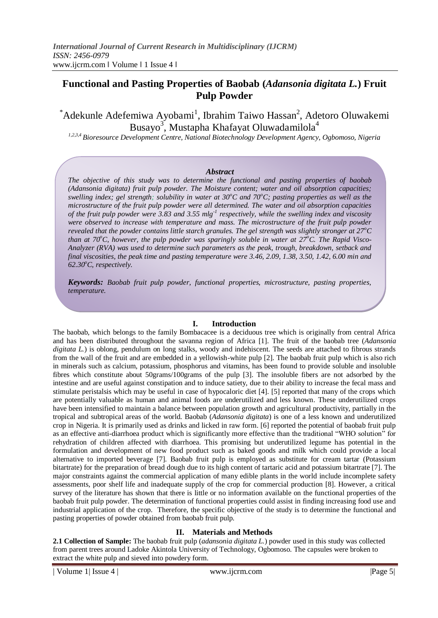# **Functional and Pasting Properties of Baobab (***Adansonia digitata L.***) Fruit Pulp Powder**

\*Adekunle Adefemiwa Ayobami<sup>1</sup>, Ibrahim Taiwo Hassan<sup>2</sup>, Adetoro Oluwakemi Busayo $^3$ , Mustapha Khafayat Oluwadamilola $^4$ 

*1,2,3,4 Bioresource Development Centre, National Biotechnology Development Agency, Ogbomoso, Nigeria*

#### *Abstract*

*The objective of this study was to determine the functional and pasting properties of baobab (Adansonia digitata) fruit pulp powder. The Moisture content; water and oil absorption capacities; swelling index; gel strength; solubility in water at 30<sup><i>o*</sup>C and 70<sup>*o*</sup>C; pasting properties as well as the *microstructure of the fruit pulp powder were all determined. The water and oil absorption capacities of the fruit pulp powder were 3.83 and 3.55 mlg-1 respectively, while the swelling index and viscosity were observed to increase with temperature and mass. The microstructure of the fruit pulp powder revealed that the powder contains little starch granules. The gel strength was slightly stronger at 27<sup>o</sup>C than at 70<sup>o</sup>C, however, the pulp powder was sparingly soluble in water at*  $27^{\circ}$ *C. The Rapid Visco-Analyzer (RVA) was used to determine such parameters as the peak, trough, breakdown, setback and final viscosities, the peak time and pasting temperature were 3.46, 2.09, 1.38, 3.50, 1.42, 6.00 min and 62.30<sup>o</sup>C, respectively.*

*Keywords: Baobab fruit pulp powder, functional properties, microstructure, pasting properties, temperature.*

#### **I. Introduction**

The baobab, which belongs to the family Bombacacee is a deciduous tree which is originally from central Africa and has been distributed throughout the savanna region of Africa [1]. The fruit of the baobab tree (*Adansonia digitata L.*) is oblong, pendulum on long stalks, woody and indehiscent. The seeds are attached to fibrous strands from the wall of the fruit and are embedded in a yellowish-white pulp [2]. The baobab fruit pulp which is also rich in minerals such as calcium, potassium, phosphorus and vitamins, has been found to provide soluble and insoluble fibres which constitute about 50grams/100grams of the pulp [3]. The insoluble fibers are not adsorbed by the intestine and are useful against constipation and to induce satiety, due to their ability to increase the fecal mass and stimulate peristalsis which may be useful in case of hypocaloric diet [4]. [5] reported that many of the crops which are potentially valuable as human and animal foods are underutilized and less known. These underutilized crops have been intensified to maintain a balance between population growth and agricultural productivity, partially in the tropical and subtropical areas of the world. Baobab (*Adansonia digitata*) is one of a less known and underutilized crop in Nigeria. It is primarily used as drinks and licked in raw form. [6] reported the potential of baobab fruit pulp as an effective anti-diarrhoea product which is significantly more effective than the traditional "WHO solution" for rehydration of children affected with diarrhoea. This promising but underutilized legume has potential in the formulation and development of new food product such as baked goods and milk which could provide a local alternative to imported beverage [7]. Baobab fruit pulp is employed as substitute for cream tartar (Potassium bitartrate) for the preparation of bread dough due to its high content of tartaric acid and potassium bitartrate [7]. The major constraints against the commercial application of many edible plants in the world include incomplete safety assessments, poor shelf life and inadequate supply of the crop for commercial production [8]. However, a critical survey of the literature has shown that there is little or no information available on the functional properties of the baobab fruit pulp powder. The determination of functional properties could assist in finding increasing food use and industrial application of the crop. Therefore, the specific objective of the study is to determine the functional and pasting properties of powder obtained from baobab fruit pulp.

#### **II. Materials and Methods**

**2.1 Collection of Sample:** The baobab fruit pulp (*adansonia digitata L.*) powder used in this study was collected from parent trees around Ladoke Akintola University of Technology, Ogbomoso. The capsules were broken to extract the white pulp and sieved into powdery form.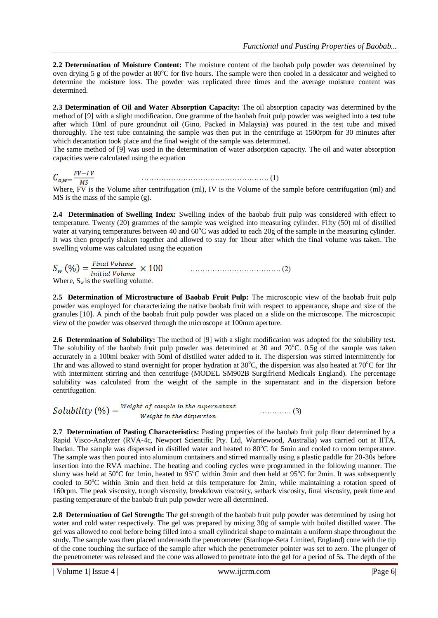**2.2 Determination of Moisture Content:** The moisture content of the baobab pulp powder was determined by oven drying 5 g of the powder at  $80^{\circ}$ C for five hours. The sample were then cooled in a dessicator and weighed to determine the moisture loss. The powder was replicated three times and the average moisture content was determined.

**2.3 Determination of Oil and Water Absorption Capacity:** The oil absorption capacity was determined by the method of [9] with a slight modification. One gramme of the baobab fruit pulp powder was weighed into a test tube after which 10ml of pure groundnut oil (Gino, Packed in Malaysia) was poured in the test tube and mixed thoroughly. The test tube containing the sample was then put in the centrifuge at 1500rpm for 30 minutes after which decantation took place and the final weight of the sample was determined.

The same method of [9] was used in the determination of water adsorption capacity. The oil and water absorption capacities were calculated using the equation

 $C_{o,w} = \frac{FV - IV}{MS}$  (1)

Where, FV is the Volume after centrifugation (ml), IV is the Volume of the sample before centrifugation (ml) and MS is the mass of the sample (g).

**2.4 Determination of Swelling Index:** Swelling index of the baobab fruit pulp was considered with effect to temperature. Twenty (20) grammes of the sample was weighed into measuring cylinder. Fifty (50) ml of distilled water at varying temperatures between 40 and  $60^{\circ}$ C was added to each 20g of the sample in the measuring cylinder. It was then properly shaken together and allowed to stay for 1hour after which the final volume was taken. The swelling volume was calculated using the equation

 ………………………………. (2) Where,  $S_w$  is the swelling volume.

**2.5 Determination of Microstructure of Baobab Fruit Pulp:** The microscopic view of the baobab fruit pulp powder was employed for characterizing the native baobab fruit with respect to appearance, shape and size of the granules [10]. A pinch of the baobab fruit pulp powder was placed on a slide on the microscope. The microscopic view of the powder was observed through the microscope at 100mm aperture.

**2.6 Determination of Solubility:** The method of [9] with a slight modification was adopted for the solubility test. The solubility of the baobab fruit pulp powder was determined at 30 and  $70^{\circ}$ C. 0.5g of the sample was taken accurately in a 100ml beaker with 50ml of distilled water added to it. The dispersion was stirred intermittently for 1hr and was allowed to stand overnight for proper hydration at  $30^{\circ}$ C, the dispersion was also heated at  $70^{\circ}$ C for 1hr with intermittent stirring and then centrifuge (MODEL SM902B Surgifriend Medicals England). The percentage solubility was calculated from the weight of the sample in the supernatant and in the dispersion before centrifugation.

Solubility  $(\%) = \frac{Weight\ of\ sample\ in\ the\ supermatant}{Weight\ in\ the\ dispersion}$  (3)

**2.7 Determination of Pasting Characteristics:** Pasting properties of the baobab fruit pulp flour determined by a Rapid Visco-Analyzer (RVA-4c, Newport Scientific Pty. Ltd, Warriewood, Australia) was carried out at IITA, Ibadan. The sample was dispersed in distilled water and heated to 80<sup>o</sup>C for 5min and cooled to room temperature. The sample was then poured into aluminum containers and stirred manually using a plastic paddle for 20-30s before insertion into the RVA machine. The heating and cooling cycles were programmed in the following manner. The slurry was held at 50°C for 1min, heated to 95°C within 3min and then held at 95°C for 2min. It was subsequently cooled to  $50^{\circ}$ C within 3min and then held at this temperature for 2min, while maintaining a rotation speed of 160rpm. The peak viscosity, trough viscosity, breakdown viscosity, setback viscosity, final viscosity, peak time and pasting temperature of the baobab fruit pulp powder were all determined.

**2.8 Determination of Gel Strength:** The gel strength of the baobab fruit pulp powder was determined by using hot water and cold water respectively. The gel was prepared by mixing 30g of sample with boiled distilled water. The gel was allowed to cool before being filled into a small cylindrical shape to maintain a uniform shape throughout the study. The sample was then placed underneath the penetrometer (Stanhope-Seta Limited, England) cone with the tip of the cone touching the surface of the sample after which the penetrometer pointer was set to zero. The plunger of the penetrometer was released and the cone was allowed to penetrate into the gel for a period of 5s. The depth of the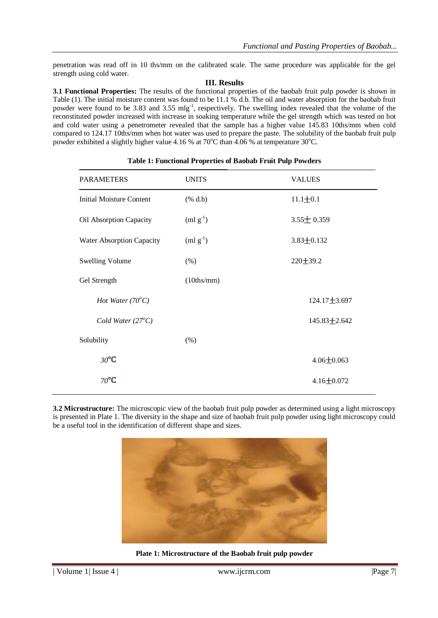penetration was read off in 10 ths/mm on the calibrated scale. The same procedure was applicable for the gel strength using cold water.

### **III. Results**

**3.1 Functional Properties:** The results of the functional properties of the baobab fruit pulp powder is shown in Table (1). The initial moisture content was found to be 11.1 % d.b. The oil and water absorption for the baobab fruit powder were found to be 3.83 and 3.55 mlg<sup>-1</sup>, respectively. The swelling index revealed that the volume of the reconstituted powder increased with increase in soaking temperature while the gel strength which was tested on hot and cold water using a penetrometer revealed that the sample has a higher value 145.83 10ths/mm when cold compared to 124.17 10ths/mm when hot water was used to prepare the paste. The solubility of the baobab fruit pulp powder exhibited a slightly higher value 4.16 % at 70 $^{\circ}$ C than 4.06 % at temperature 30 $^{\circ}$ C.

| <b>PARAMETERS</b>               | <b>UNITS</b>                         | <b>VALUES</b>      |  |
|---------------------------------|--------------------------------------|--------------------|--|
| <b>Initial Moisture Content</b> | $(% \mathbf{a}, \mathbf{b})$ (% d.b) | $11.1 \pm 0.1$     |  |
| Oil Absorption Capacity         | $(ml g^{-1})$                        | $3.55 \pm 0.359$   |  |
| Water Absorption Capacity       | $(ml g^{-1})$                        | $3.83 \pm 0.132$   |  |
| <b>Swelling Volume</b>          | (% )                                 | $220 \pm 39.2$     |  |
| Gel Strength                    | (10ths/mm)                           |                    |  |
| Hot Water $(70^{\circ}C)$       |                                      | $124.17 \pm 3.697$ |  |
| Cold Water $(27^{\circ}C)$      |                                      | $145.83 \pm 2.642$ |  |
| Solubility                      | $(\% )$                              |                    |  |
| $30^{\circ}$ C                  |                                      | $4.06 \pm 0.063$   |  |
| $70^{\circ}$ C                  |                                      | $4.16 \pm 0.072$   |  |

## **Table 1: Functional Properties of Baobab Fruit Pulp Powders**

**3.2 Microstructure:** The microscopic view of the baobab fruit pulp powder as determined using a light microscopy is presented in Plate 1. The diversity in the shape and size of baobab fruit pulp powder using light microscopy could be a useful tool in the identification of different shape and sizes.



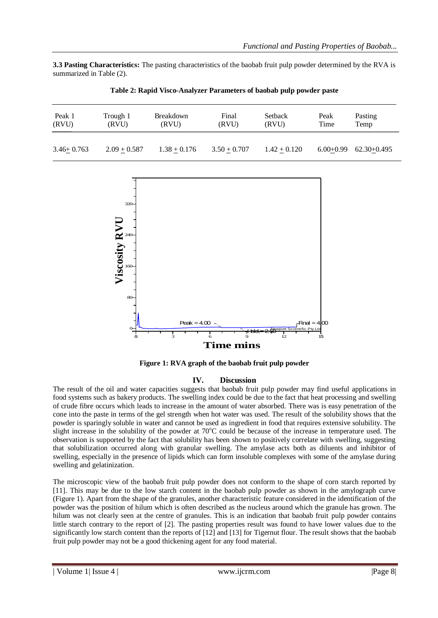**3.3 Pasting Characteristics:** The pasting characteristics of the baobab fruit pulp powder determined by the RVA is summarized in Table (2).

| Peak 1         | Trough 1       | Breakdown      | Final          | Setback        | Peak        | Pasting     |
|----------------|----------------|----------------|----------------|----------------|-------------|-------------|
| (RVU)          | (RVU)          | (RVU)          | (RVU)          | (RVU)          | Time        | Temp        |
| $3.46 + 0.763$ | $2.09 + 0.587$ | $1.38 + 0.176$ | $3.50 + 0.707$ | $1.42 + 0.120$ | $6.00+0.99$ | 62.30+0.495 |

**Table 2: Rapid Visco-Analyzer Parameters of baobab pulp powder paste**



**Figure 1: RVA graph of the baobab fruit pulp powder**

## **IV. Discussion**

The result of the oil and water capacities suggests that baobab fruit pulp powder may find useful applications in food systems such as bakery products. The swelling index could be due to the fact that heat processing and swelling of crude fibre occurs which leads to increase in the amount of water absorbed. There was is easy penetration of the cone into the paste in terms of the gel strength when hot water was used. The result of the solubility shows that the powder is sparingly soluble in water and cannot be used as ingredient in food that requires extensive solubility. The slight increase in the solubility of the powder at  $70^{\circ}$ C could be because of the increase in temperature used. The observation is supported by the fact that solubility has been shown to positively correlate with swelling, suggesting that solubilization occurred along with granular swelling. The amylase acts both as diluents and inhibitor of swelling, especially in the presence of lipids which can form insoluble complexes with some of the amylase during swelling and gelatinization.

The microscopic view of the baobab fruit pulp powder does not conform to the shape of corn starch reported by [11]. This may be due to the low starch content in the baobab pulp powder as shown in the amylograph curve (Figure 1). Apart from the shape of the granules, another characteristic feature considered in the identification of the powder was the position of hilum which is often described as the nucleus around which the granule has grown. The hilum was not clearly seen at the centre of granules. This is an indication that baobab fruit pulp powder contains little starch contrary to the report of [2]. The pasting properties result was found to have lower values due to the significantly low starch content than the reports of [12] and [13] for Tigernut flour. The result shows that the baobab fruit pulp powder may not be a good thickening agent for any food material.